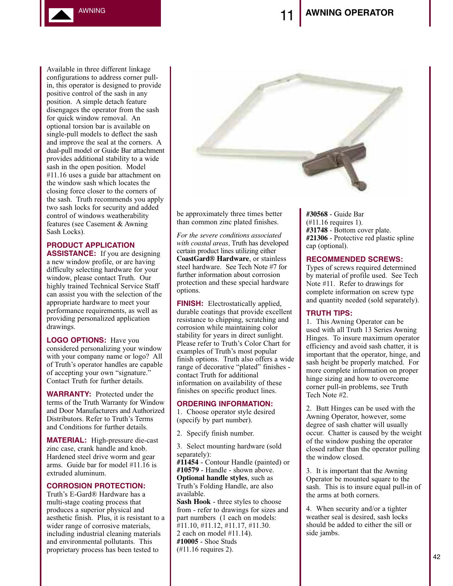AWNING

Available in three different linkage configurations to address corner pullin, this operator is designed to provide positive control of the sash in any position. A simple detach feature disengages the operator from the sash for quick window removal. An optional torsion bar is available on single-pull models to deflect the sash and improve the seal at the corners. A dual-pull model or Guide Bar attachment provides additional stability to a wide sash in the open position. Model #11.16 uses a guide bar attachment on the window sash which locates the closing force closer to the corners of the sash. Truth recommends you apply two sash locks for security and added control of windows weatherability features (see Casement & Awning Sash Locks).

# **PRODUCT APPLICATION**

**ASSISTANCE:** If you are designing a new window profile, or are having difficulty selecting hardware for your window, please contact Truth. Our highly trained Technical Service Staff can assist you with the selection of the appropriate hardware to meet your performance requirements, as well as providing personalized application drawings.

**LOGO OPTIONS:** Have you considered personalizing your window with your company name or logo? All of Truth's operator handles are capable of accepting your own "signature." Contact Truth for further details.

**WARRANTY:** Protected under the terms of the Truth Warranty for Window and Door Manufacturers and Authorized Distributors. Refer to Truth's Terms and Conditions for further details.

**MATERIAL:** High-pressure die-cast zinc case, crank handle and knob. Hardened steel drive worm and gear arms. Guide bar for model #11.16 is extruded aluminum.

## **CORROSION PROTECTION:**

Truth's E-Gard® Hardware has a multi-stage coating process that produces a superior physical and aesthetic finish. Plus, it is resistant to a wider range of corrosive materials, including industrial cleaning materials and environmental pollutants. This proprietary process has been tested to



be approximately three times better than common zinc plated finishes.

*For the severe conditions associated with coastal areas,* Truth has developed certain product lines utilizing either **CoastGard® Hardware**, or stainless steel hardware. See Tech Note #7 for further information about corrosion protection and these special hardware options.

**FINISH:** Electrostatically applied, durable coatings that provide excellent resistance to chipping, scratching and corrosion while maintaining color stability for years in direct sunlight. Please refer to Truth's Color Chart for examples of Truth's most popular finish options. Truth also offers a wide range of decorative "plated" finishes contact Truth for additional information on availability of these finishes on specific product lines.

### **ORDERING INFORMATION:**

1. Choose operator style desired (specify by part number).

2. Specify finish number.

3. Select mounting hardware (sold separately): **#11454** - Contour Handle (painted) or

**#10579** - Handle - shown above. **Optional handle styles**, such as Truth's Folding Handle, are also available.

**Sash Hook** - three styles to choose from - refer to drawings for sizes and part numbers (1 each on models: #11.10, #11.12, #11.17, #11.30.

2 each on model #11.14). **#10005** - Shoe Studs

(#11.16 requires 2).

**#30568** - Guide Bar (#11.16 requires 1). **#31748** - Bottom cover plate. **#21306** - Protective red plastic spline cap (optional).

#### **RECOMMENDED SCREWS:**

Types of screws required determined by material of profile used. See Tech Note #11. Refer to drawings for complete information on screw type and quantity needed (sold separately).

## **TRUTH TIPS:**

1. This Awning Operator can be used with all Truth 13 Series Awning Hinges. To insure maximum operator efficiency and avoid sash chatter, it is important that the operator, hinge, and sash height be properly matched. For more complete information on proper hinge sizing and how to overcome corner pull-in problems, see Truth Tech Note #2.

2. Butt Hinges can be used with the Awning Operator, however, some degree of sash chatter will usually occur. Chatter is caused by the weight of the window pushing the operator closed rather than the operator pulling the window closed.

3. It is important that the Awning Operator be mounted square to the sash. This is to insure equal pull-in of the arms at both corners.

4. When security and/or a tighter weather seal is desired, sash locks should be added to either the sill or side jambs.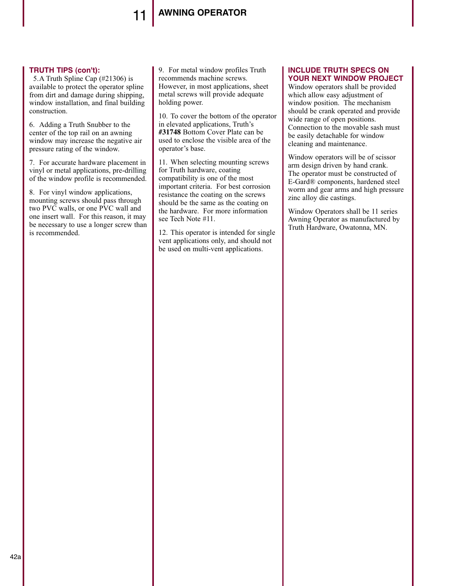## 11 **AWNING OPERATOR**

### **TRUTH TIPS (con't):**

5.A Truth Spline Cap (#21306) is available to protect the operator spline from dirt and damage during shipping, window installation, and final building construction.

6. Adding a Truth Snubber to the center of the top rail on an awning window may increase the negative air pressure rating of the window.

7. For accurate hardware placement in vinyl or metal applications, pre-drilling of the window profile is recommended.

8. For vinyl window applications, mounting screws should pass through two PVC walls, or one PVC wall and one insert wall. For this reason, it may be necessary to use a longer screw than is recommended.

9. For metal window profiles Truth recommends machine screws. However, in most applications, sheet metal screws will provide adequate holding power.

10. To cover the bottom of the operator in elevated applications, Truth's **#31748** Bottom Cover Plate can be used to enclose the visible area of the operator's base.

11. When selecting mounting screws for Truth hardware, coating compatibility is one of the most important criteria. For best corrosion resistance the coating on the screws should be the same as the coating on the hardware. For more information see Tech Note #11.

12. This operator is intended for single vent applications only, and should not be used on multi-vent applications.

## **INCLUDE TRUTH SPECS ON YOUR NEXT WINDOW PROJECT**

Window operators shall be provided which allow easy adjustment of window position. The mechanism should be crank operated and provide wide range of open positions. Connection to the movable sash must be easily detachable for window cleaning and maintenance.

Window operators will be of scissor arm design driven by hand crank. The operator must be constructed of E-Gard® components, hardened steel worm and gear arms and high pressure zinc alloy die castings.

Window Operators shall be 11 series Awning Operator as manufactured by Truth Hardware, Owatonna, MN.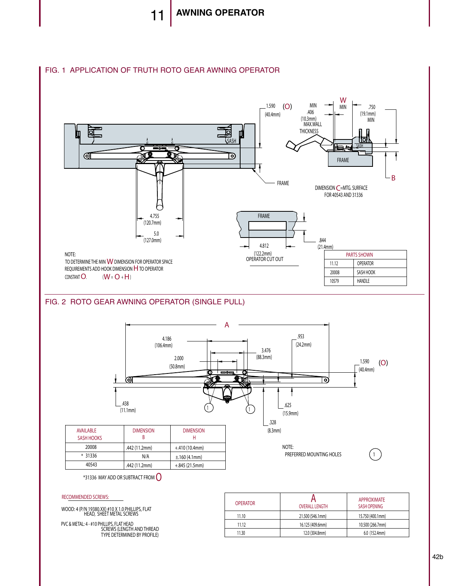

## FIG. 1 APPLICATION OF TRUTH ROTO GEAR AWNING OPERATOR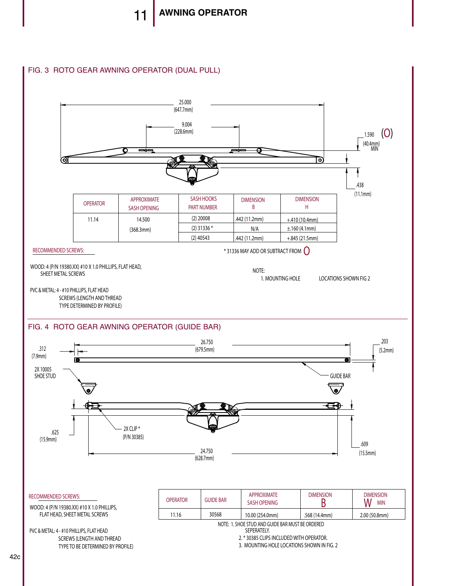## FIG. 3 ROTO GEAR AWNING OPERATOR (DUAL PULL)

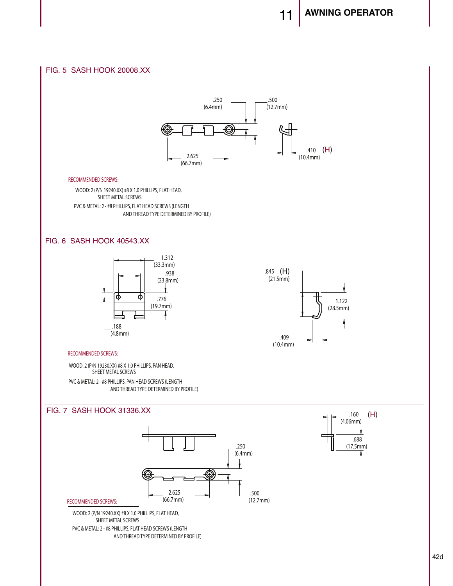